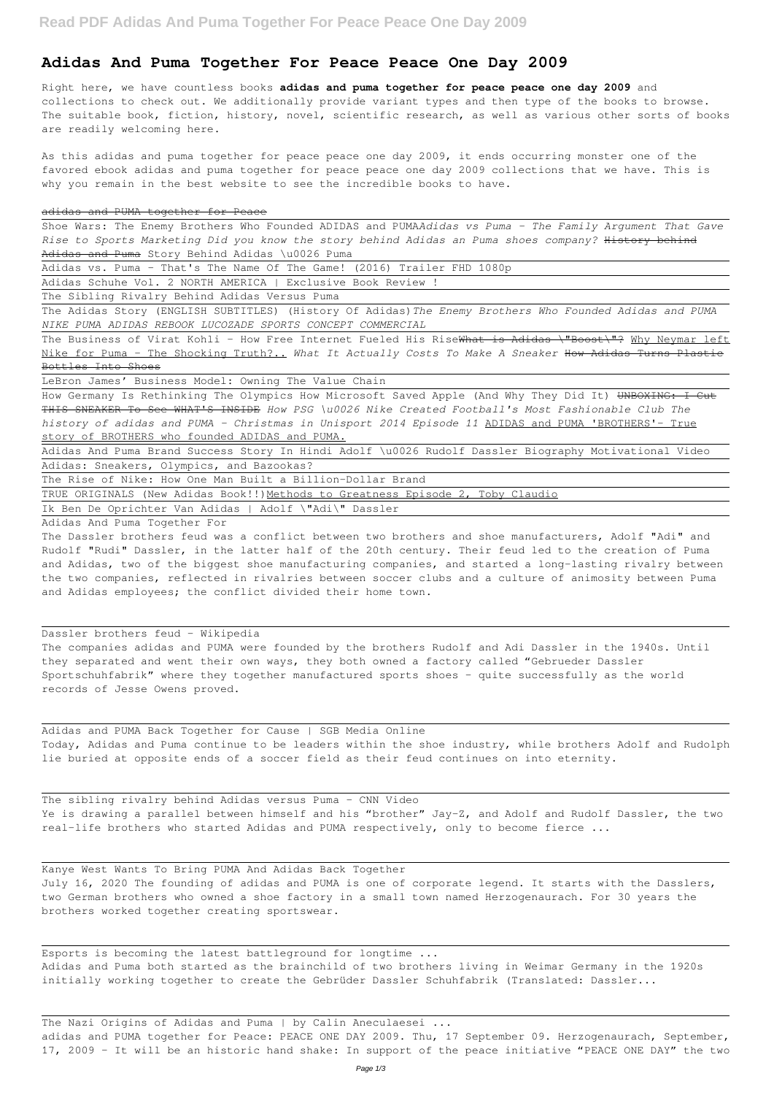## **Adidas And Puma Together For Peace Peace One Day 2009**

Right here, we have countless books **adidas and puma together for peace peace one day 2009** and collections to check out. We additionally provide variant types and then type of the books to browse. The suitable book, fiction, history, novel, scientific research, as well as various other sorts of books are readily welcoming here.

Shoe Wars: The Enemy Brothers Who Founded ADIDAS and PUMA*Adidas vs Puma - The Family Argument That Gave Rise to Sports Marketing Did you know the story behind Adidas an Puma shoes company?* History behind Adidas and Puma Story Behind Adidas \u0026 Puma

As this adidas and puma together for peace peace one day 2009, it ends occurring monster one of the favored ebook adidas and puma together for peace peace one day 2009 collections that we have. This is why you remain in the best website to see the incredible books to have.

## adidas and PUMA together for Peace

The Business of Virat Kohli - How Free Internet Fueled His RiseWhat is Adidas \"Boost\"? Why Neymar left Nike for Puma - The Shocking Truth?.. *What It Actually Costs To Make A Sneaker* How Adidas Turns Plastic Bottles Into Shoes

How Germany Is Rethinking The Olympics How Microsoft Saved Apple (And Why They Did It) UNBOXING: I Cut THIS SNEAKER To See WHAT'S INSIDE *How PSG \u0026 Nike Created Football's Most Fashionable Club The history of adidas and PUMA - Christmas in Unisport 2014 Episode 11* ADIDAS and PUMA 'BROTHERS'- True story of BROTHERS who founded ADIDAS and PUMA.

Adidas vs. Puma - That's The Name Of The Game! (2016) Trailer FHD 1080p

Adidas Schuhe Vol. 2 NORTH AMERICA | Exclusive Book Review !

The Sibling Rivalry Behind Adidas Versus Puma

The Adidas Story (ENGLISH SUBTITLES) (History Of Adidas)*The Enemy Brothers Who Founded Adidas and PUMA NIKE PUMA ADIDAS REBOOK LUCOZADE SPORTS CONCEPT COMMERCIAL*

LeBron James' Business Model: Owning The Value Chain

The sibling rivalry behind Adidas versus Puma - CNN Video Ye is drawing a parallel between himself and his "brother" Jay-Z, and Adolf and Rudolf Dassler, the two

Adidas And Puma Brand Success Story In Hindi Adolf \u0026 Rudolf Dassler Biography Motivational Video Adidas: Sneakers, Olympics, and Bazookas?

The Rise of Nike: How One Man Built a Billion-Dollar Brand

TRUE ORIGINALS (New Adidas Book!!) Methods to Greatness Episode 2, Toby Claudio

adidas and PUMA together for Peace: PEACE ONE DAY 2009. Thu, 17 September 09. Herzogenaurach, September, 17, 2009 – It will be an historic hand shake: In support of the peace initiative "PEACE ONE DAY" the two

Ik Ben De Oprichter Van Adidas | Adolf \"Adi\" Dassler

Adidas And Puma Together For

The Dassler brothers feud was a conflict between two brothers and shoe manufacturers, Adolf "Adi" and Rudolf "Rudi" Dassler, in the latter half of the 20th century. Their feud led to the creation of Puma and Adidas, two of the biggest shoe manufacturing companies, and started a long-lasting rivalry between the two companies, reflected in rivalries between soccer clubs and a culture of animosity between Puma and Adidas employees; the conflict divided their home town.

Dassler brothers feud - Wikipedia

The companies adidas and PUMA were founded by the brothers Rudolf and Adi Dassler in the 1940s. Until they separated and went their own ways, they both owned a factory called "Gebrueder Dassler Sportschuhfabrik" where they together manufactured sports shoes – quite successfully as the world records of Jesse Owens proved.

Adidas and PUMA Back Together for Cause | SGB Media Online Today, Adidas and Puma continue to be leaders within the shoe industry, while brothers Adolf and Rudolph lie buried at opposite ends of a soccer field as their feud continues on into eternity.

Kanye West Wants To Bring PUMA And Adidas Back Together July 16, 2020 The founding of adidas and PUMA is one of corporate legend. It starts with the Dasslers, two German brothers who owned a shoe factory in a small town named Herzogenaurach. For 30 years the brothers worked together creating sportswear.

Esports is becoming the latest battleground for longtime ... Adidas and Puma both started as the brainchild of two brothers living in Weimar Germany in the 1920s initially working together to create the Gebrüder Dassler Schuhfabrik (Translated: Dassler...

The Nazi Origins of Adidas and Puma | by Calin Aneculaesei ...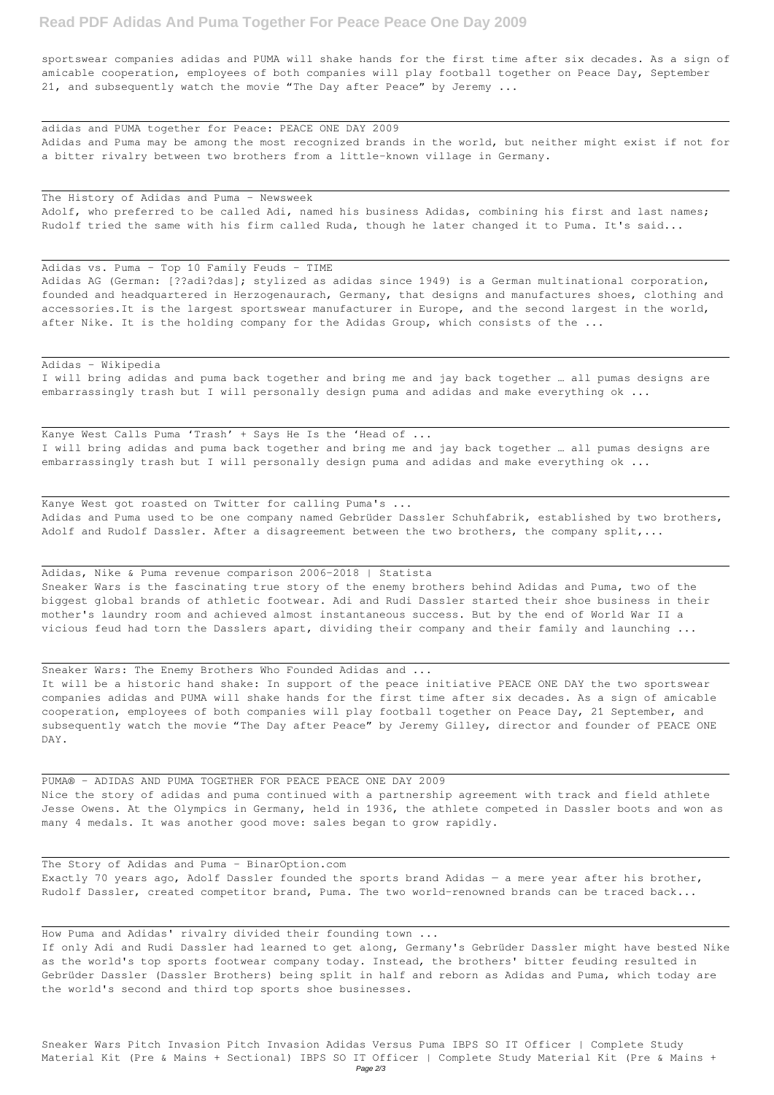## **Read PDF Adidas And Puma Together For Peace Peace One Day 2009**

sportswear companies adidas and PUMA will shake hands for the first time after six decades. As a sign of amicable cooperation, employees of both companies will play football together on Peace Day, September 21, and subsequently watch the movie "The Day after Peace" by Jeremy ...

Adidas AG (German: [??adi?das]; stylized as adidas since 1949) is a German multinational corporation, founded and headquartered in Herzogenaurach, Germany, that designs and manufactures shoes, clothing and accessories.It is the largest sportswear manufacturer in Europe, and the second largest in the world, after Nike. It is the holding company for the Adidas Group, which consists of the ...

adidas and PUMA together for Peace: PEACE ONE DAY 2009 Adidas and Puma may be among the most recognized brands in the world, but neither might exist if not for a bitter rivalry between two brothers from a little-known village in Germany.

The History of Adidas and Puma - Newsweek Adolf, who preferred to be called Adi, named his business Adidas, combining his first and last names; Rudolf tried the same with his firm called Ruda, though he later changed it to Puma. It's said...

I will bring adidas and puma back together and bring me and jay back together … all pumas designs are embarrassingly trash but I will personally design puma and adidas and make everything ok ...

Kanye West Calls Puma 'Trash' + Says He Is the 'Head of ... I will bring adidas and puma back together and bring me and jay back together … all pumas designs are embarrassingly trash but I will personally design puma and adidas and make everything ok ...

Adidas vs. Puma - Top 10 Family Feuds - TIME

Kanye West got roasted on Twitter for calling Puma's ... Adidas and Puma used to be one company named Gebrüder Dassler Schuhfabrik, established by two brothers, Adolf and Rudolf Dassler. After a disagreement between the two brothers, the company split,...

Adidas - Wikipedia

The Story of Adidas and Puma - BinarOption.com Exactly 70 years ago, Adolf Dassler founded the sports brand Adidas — a mere year after his brother, Rudolf Dassler, created competitor brand, Puma. The two world-renowned brands can be traced back...

Adidas, Nike & Puma revenue comparison 2006-2018 | Statista Sneaker Wars is the fascinating true story of the enemy brothers behind Adidas and Puma, two of the biggest global brands of athletic footwear. Adi and Rudi Dassler started their shoe business in their mother's laundry room and achieved almost instantaneous success. But by the end of World War II a vicious feud had torn the Dasslers apart, dividing their company and their family and launching ...

Sneaker Wars: The Enemy Brothers Who Founded Adidas and ...

It will be a historic hand shake: In support of the peace initiative PEACE ONE DAY the two sportswear companies adidas and PUMA will shake hands for the first time after six decades. As a sign of amicable cooperation, employees of both companies will play football together on Peace Day, 21 September, and subsequently watch the movie "The Day after Peace" by Jeremy Gilley, director and founder of PEACE ONE DAY.

PUMA® - ADIDAS AND PUMA TOGETHER FOR PEACE PEACE ONE DAY 2009 Nice the story of adidas and puma continued with a partnership agreement with track and field athlete Jesse Owens. At the Olympics in Germany, held in 1936, the athlete competed in Dassler boots and won as many 4 medals. It was another good move: sales began to grow rapidly.

How Puma and Adidas' rivalry divided their founding town ...

If only Adi and Rudi Dassler had learned to get along, Germany's Gebrüder Dassler might have bested Nike as the world's top sports footwear company today. Instead, the brothers' bitter feuding resulted in Gebrüder Dassler (Dassler Brothers) being split in half and reborn as Adidas and Puma, which today are the world's second and third top sports shoe businesses.

Sneaker Wars Pitch Invasion Pitch Invasion Adidas Versus Puma IBPS SO IT Officer | Complete Study Material Kit (Pre & Mains + Sectional) IBPS SO IT Officer | Complete Study Material Kit (Pre & Mains + Page 2/3